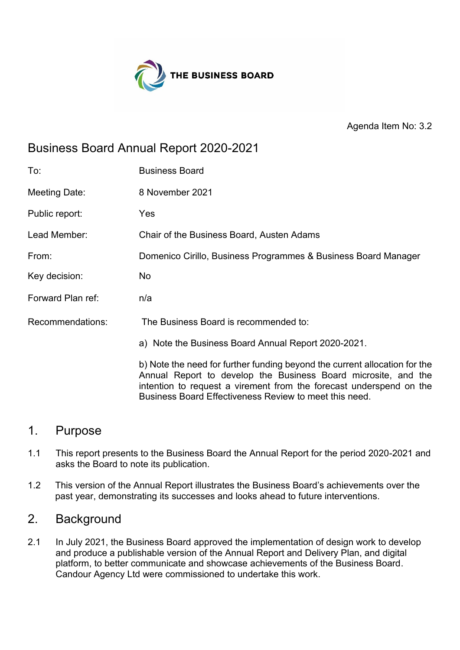

Agenda Item No: 3.2

## Business Board Annual Report 2020-2021

| To:               | <b>Business Board</b>                                                                                                                                                                                               |
|-------------------|---------------------------------------------------------------------------------------------------------------------------------------------------------------------------------------------------------------------|
| Meeting Date:     | 8 November 2021                                                                                                                                                                                                     |
| Public report:    | Yes                                                                                                                                                                                                                 |
| Lead Member:      | Chair of the Business Board, Austen Adams                                                                                                                                                                           |
| From:             | Domenico Cirillo, Business Programmes & Business Board Manager                                                                                                                                                      |
| Key decision:     | No                                                                                                                                                                                                                  |
| Forward Plan ref: | n/a                                                                                                                                                                                                                 |
| Recommendations:  | The Business Board is recommended to:                                                                                                                                                                               |
|                   | a) Note the Business Board Annual Report 2020-2021.                                                                                                                                                                 |
|                   | b) Note the need for further funding beyond the current allocation for the<br>Annual Report to develop the Business Board microsite, and the<br>intention to request a virement from the forecast underspend on the |

## 1. Purpose

1.1 This report presents to the Business Board the Annual Report for the period 2020-2021 and asks the Board to note its publication.

Business Board Effectiveness Review to meet this need.

1.2 This version of the Annual Report illustrates the Business Board's achievements over the past year, demonstrating its successes and looks ahead to future interventions.

## 2. Background

2.1 In July 2021, the Business Board approved the implementation of design work to develop and produce a publishable version of the Annual Report and Delivery Plan, and digital platform, to better communicate and showcase achievements of the Business Board. Candour Agency Ltd were commissioned to undertake this work.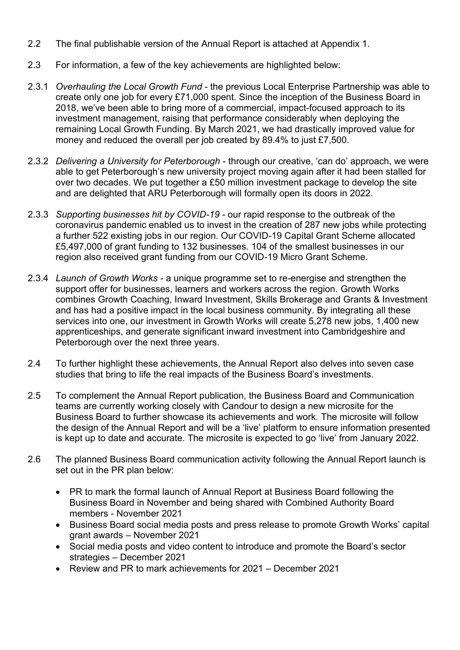- 2.2 The final publishable version of the Annual Report is attached at Appendix 1.
- 2.3 For information, a few of the key achievements are highlighted below:
- 2.3.1 *Overhauling the Local Growth Fund* the previous Local Enterprise Partnership was able to create only one job for every £71,000 spent. Since the inception of the Business Board in 2018, we've been able to bring more of a commercial, impact-focused approach to its investment management, raising that performance considerably when deploying the remaining Local Growth Funding. By March 2021, we had drastically improved value for money and reduced the overall per job created by 89.4% to just £7,500.
- 2.3.2 *Delivering a University for Peterborough* through our creative, 'can do' approach, we were able to get Peterborough's new university project moving again after it had been stalled for over two decades. We put together a £50 million investment package to develop the site and are delighted that ARU Peterborough will formally open its doors in 2022.
- 2.3.3 *Supporting businesses hit by COVID-19* our rapid response to the outbreak of the coronavirus pandemic enabled us to invest in the creation of 287 new jobs while protecting a further 522 existing jobs in our region. Our COVID-19 Capital Grant Scheme allocated £5,497,000 of grant funding to 132 businesses. 104 of the smallest businesses in our region also received grant funding from our COVID-19 Micro Grant Scheme.
- 2.3.4 *Launch of Growth Works* a unique programme set to re-energise and strengthen the support offer for businesses, learners and workers across the region. Growth Works combines Growth Coaching, Inward Investment, Skills Brokerage and Grants & Investment and has had a positive impact in the local business community. By integrating all these services into one, our investment in Growth Works will create 5,278 new jobs, 1,400 new apprenticeships, and generate significant inward investment into Cambridgeshire and Peterborough over the next three years.
- 2.4 To further highlight these achievements, the Annual Report also delves into seven case studies that bring to life the real impacts of the Business Board's investments.
- 2.5 To complement the Annual Report publication, the Business Board and Communication teams are currently working closely with Candour to design a new microsite for the Business Board to further showcase its achievements and work. The microsite will follow the design of the Annual Report and will be a 'live' platform to ensure information presented is kept up to date and accurate. The microsite is expected to go 'live' from January 2022.
- 2.6 The planned Business Board communication activity following the Annual Report launch is set out in the PR plan below:
	- PR to mark the formal launch of Annual Report at Business Board following the Business Board in November and being shared with Combined Authority Board members - November 2021
	- Business Board social media posts and press release to promote Growth Works' capital grant awards – November 2021
	- Social media posts and video content to introduce and promote the Board's sector strategies – December 2021
	- Review and PR to mark achievements for 2021 December 2021